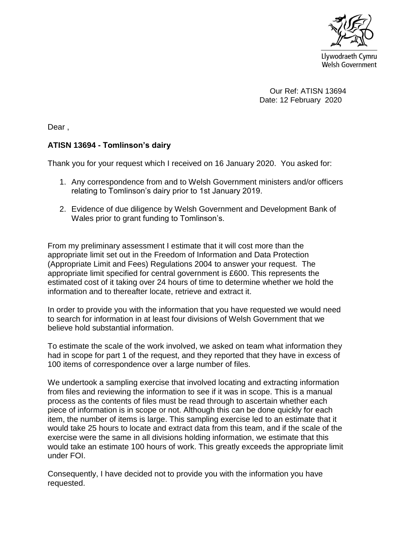

 Our Ref: ATISN 13694 Date: 12 February 2020

Dear ,

## **ATISN 13694 - Tomlinson's dairy**

Thank you for your request which I received on 16 January 2020. You asked for:

- 1. Any correspondence from and to Welsh Government ministers and/or officers relating to Tomlinson's dairy prior to 1st January 2019.
- 2. Evidence of due diligence by Welsh Government and Development Bank of Wales prior to grant funding to Tomlinson's.

From my preliminary assessment I estimate that it will cost more than the appropriate limit set out in the Freedom of Information and Data Protection (Appropriate Limit and Fees) Regulations 2004 to answer your request. The appropriate limit specified for central government is £600. This represents the estimated cost of it taking over 24 hours of time to determine whether we hold the information and to thereafter locate, retrieve and extract it.

In order to provide you with the information that you have requested we would need to search for information in at least four divisions of Welsh Government that we believe hold substantial information.

To estimate the scale of the work involved, we asked on team what information they had in scope for part 1 of the request, and they reported that they have in excess of 100 items of correspondence over a large number of files.

We undertook a sampling exercise that involved locating and extracting information from files and reviewing the information to see if it was in scope. This is a manual process as the contents of files must be read through to ascertain whether each piece of information is in scope or not. Although this can be done quickly for each item, the number of items is large. This sampling exercise led to an estimate that it would take 25 hours to locate and extract data from this team, and if the scale of the exercise were the same in all divisions holding information, we estimate that this would take an estimate 100 hours of work. This greatly exceeds the appropriate limit under FOI.

Consequently, I have decided not to provide you with the information you have requested.